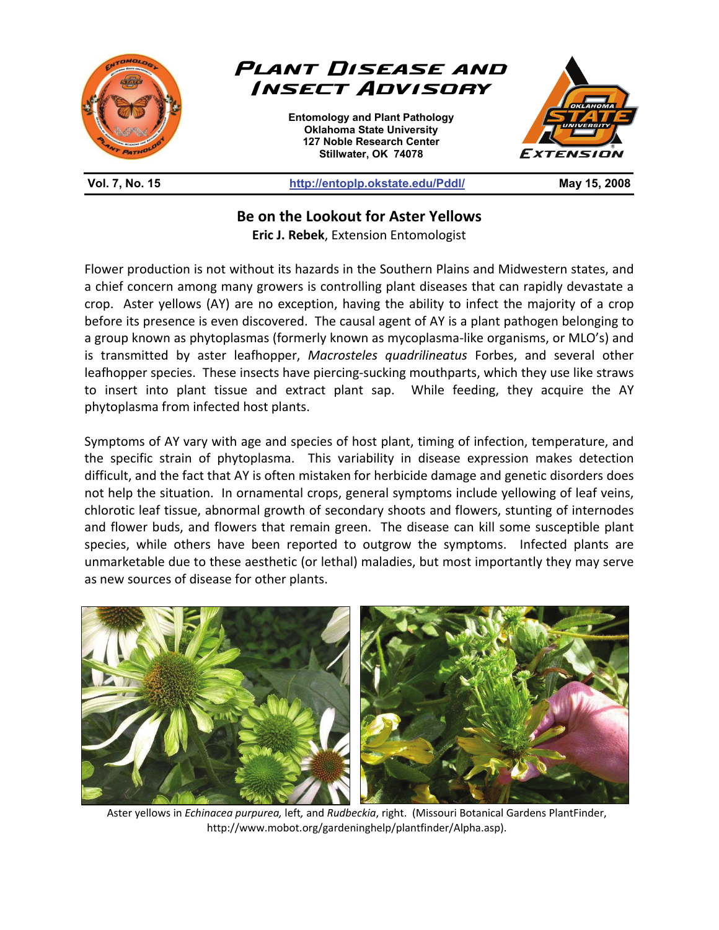

**Be on the Lookout for Aster Yellows** 

**Eric J. Rebek**, Extension Entomologist

Flower production is not without its hazards in the Southern Plains and Midwestern states, and a chief concern among many growers is controlling plant diseases that can rapidly devastate a crop. Aster yellows (AY) are no exception, having the ability to infect the majority of a crop before its presence is even discovered. The causal agent of AY is a plant pathogen belonging to a group known as phytoplasmas (formerly known as mycoplasma-like organisms, or MLO's) and is transmitted by aster leafhopper, *Macrosteles quadrilineatus* Forbes, and several other leafhopper species. These insects have piercing-sucking mouthparts, which they use like straws to insert into plant tissue and extract plant sap. While feeding, they acquire the AY phytoplasma from infected host plants.

Symptoms of AY vary with age and species of host plant, timing of infection, temperature, and the specific strain of phytoplasma. This variability in disease expression makes detection difficult, and the fact that AY is often mistaken for herbicide damage and genetic disorders does not help the situation. In ornamental crops, general symptoms include yellowing of leaf veins, chlorotic leaf tissue, abnormal growth of secondary shoots and flowers, stunting of internodes and flower buds, and flowers that remain green. The disease can kill some susceptible plant species, while others have been reported to outgrow the symptoms. Infected plants are unmarketable due to these aesthetic (or lethal) maladies, but most importantly they may serve as new sources of disease for other plants.



Aster yellows in *Echinacea purpurea,* left*,* and *Rudbeckia*, right. (Missouri Botanical Gardens PlantFinder, http://www.mobot.org/gardeninghelp/plantfinder/Alpha.asp).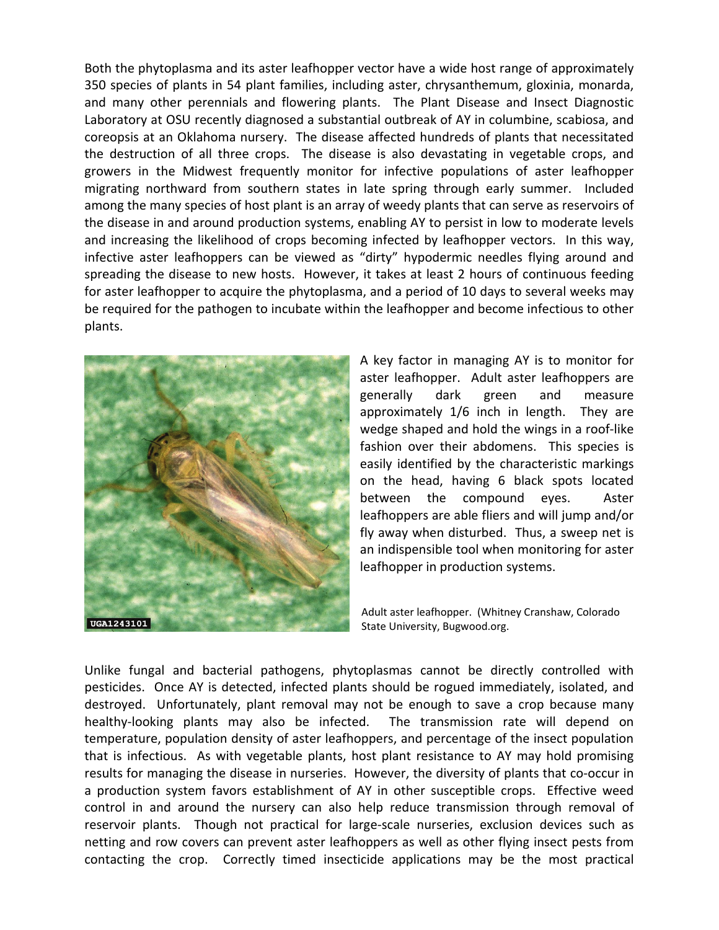Both the phytoplasma and its aster leafhopper vector have a wide host range of approximately 350 species of plants in 54 plant families, including aster, chrysanthemum, gloxinia, monarda, and many other perennials and flowering plants. The Plant Disease and Insect Diagnostic Laboratory at OSU recently diagnosed a substantial outbreak of AY in columbine, scabiosa, and coreopsis at an Oklahoma nursery. The disease affected hundreds of plants that necessitated the destruction of all three crops. The disease is also devastating in vegetable crops, and growers in the Midwest frequently monitor for infective populations of aster leafhopper migrating northward from southern states in late spring through early summer. Included among the many species of host plant is an array of weedy plants that can serve as reservoirs of the disease in and around production systems, enabling AY to persist in low to moderate levels and increasing the likelihood of crops becoming infected by leafhopper vectors. In this way, infective aster leafhoppers can be viewed as "dirty" hypodermic needles flying around and spreading the disease to new hosts. However, it takes at least 2 hours of continuous feeding for aster leafhopper to acquire the phytoplasma, and a period of 10 days to several weeks may be required for the pathogen to incubate within the leafhopper and become infectious to other plants.



A key factor in managing AY is to monitor for aster leafhopper. Adult aster leafhoppers are generally dark green and measure approximately 1/6 inch in length. They are wedge shaped and hold the wings in a roof-like fashion over their abdomens. This species is easily identified by the characteristic markings on the head, having 6 black spots located between the compound eyes. Aster leafhoppers are able fliers and will jump and/or fly away when disturbed. Thus, a sweep net is an indispensible tool when monitoring for aster leafhopper in production systems.

Adult aster leafhopper. (Whitney Cranshaw, Colorado State University, Bugwood.org.

Unlike fungal and bacterial pathogens, phytoplasmas cannot be directly controlled with pesticides. Once AY is detected, infected plants should be rogued immediately, isolated, and destroyed. Unfortunately, plant removal may not be enough to save a crop because many healthy-looking plants may also be infected. The transmission rate will depend on temperature, population density of aster leafhoppers, and percentage of the insect population that is infectious. As with vegetable plants, host plant resistance to AY may hold promising results for managing the disease in nurseries. However, the diversity of plants that co-occur in a production system favors establishment of AY in other susceptible crops. Effective weed control in and around the nursery can also help reduce transmission through removal of reservoir plants. Though not practical for large-scale nurseries, exclusion devices such as netting and row covers can prevent aster leafhoppers as well as other flying insect pests from contacting the crop. Correctly timed insecticide applications may be the most practical